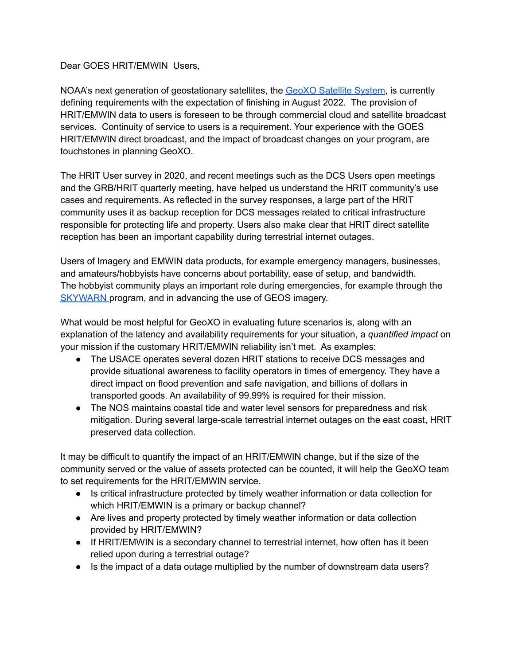Dear GOES HRIT/EMWIN Users,

NOAA's next generation of geostationary satellites, the GeoXO [Satellite](https://www.nesdis.noaa.gov/next-generation/geostationary-extended-observations-geoxo) System, is currently defining requirements with the expectation of finishing in August 2022. The provision of HRIT/EMWIN data to users is foreseen to be through commercial cloud and satellite broadcast services. Continuity of service to users is a requirement. Your experience with the GOES HRIT/EMWIN direct broadcast, and the impact of broadcast changes on your program, are touchstones in planning GeoXO.

The HRIT User survey in 2020, and recent meetings such as the DCS Users open meetings and the GRB/HRIT quarterly meeting, have helped us understand the HRIT community's use cases and requirements. As reflected in the survey responses, a large part of the HRIT community uses it as backup reception for DCS messages related to critical infrastructure responsible for protecting life and property. Users also make clear that HRIT direct satellite reception has been an important capability during terrestrial internet outages.

Users of Imagery and EMWIN data products, for example emergency managers, businesses, and amateurs/hobbyists have concerns about portability, ease of setup, and bandwidth. The hobbyist community plays an important role during emergencies, for example through the [SKYWARN](https://www.weather.gov/SKYWARN) program, and in advancing the use of GEOS imagery.

What would be most helpful for GeoXO in evaluating future scenarios is, along with an explanation of the latency and availability requirements for your situation, a *quantified impact* on your mission if the customary HRIT/EMWIN reliability isn't met. As examples:

- The USACE operates several dozen HRIT stations to receive DCS messages and provide situational awareness to facility operators in times of emergency. They have a direct impact on flood prevention and safe navigation, and billions of dollars in transported goods. An availability of 99.99% is required for their mission.
- The NOS maintains coastal tide and water level sensors for preparedness and risk mitigation. During several large-scale terrestrial internet outages on the east coast, HRIT preserved data collection.

It may be difficult to quantify the impact of an HRIT/EMWIN change, but if the size of the community served or the value of assets protected can be counted, it will help the GeoXO team to set requirements for the HRIT/EMWIN service.

- Is critical infrastructure protected by timely weather information or data collection for which HRIT/EMWIN is a primary or backup channel?
- Are lives and property protected by timely weather information or data collection provided by HRIT/EMWIN?
- If HRIT/EMWIN is a secondary channel to terrestrial internet, how often has it been relied upon during a terrestrial outage?
- Is the impact of a data outage multiplied by the number of downstream data users?